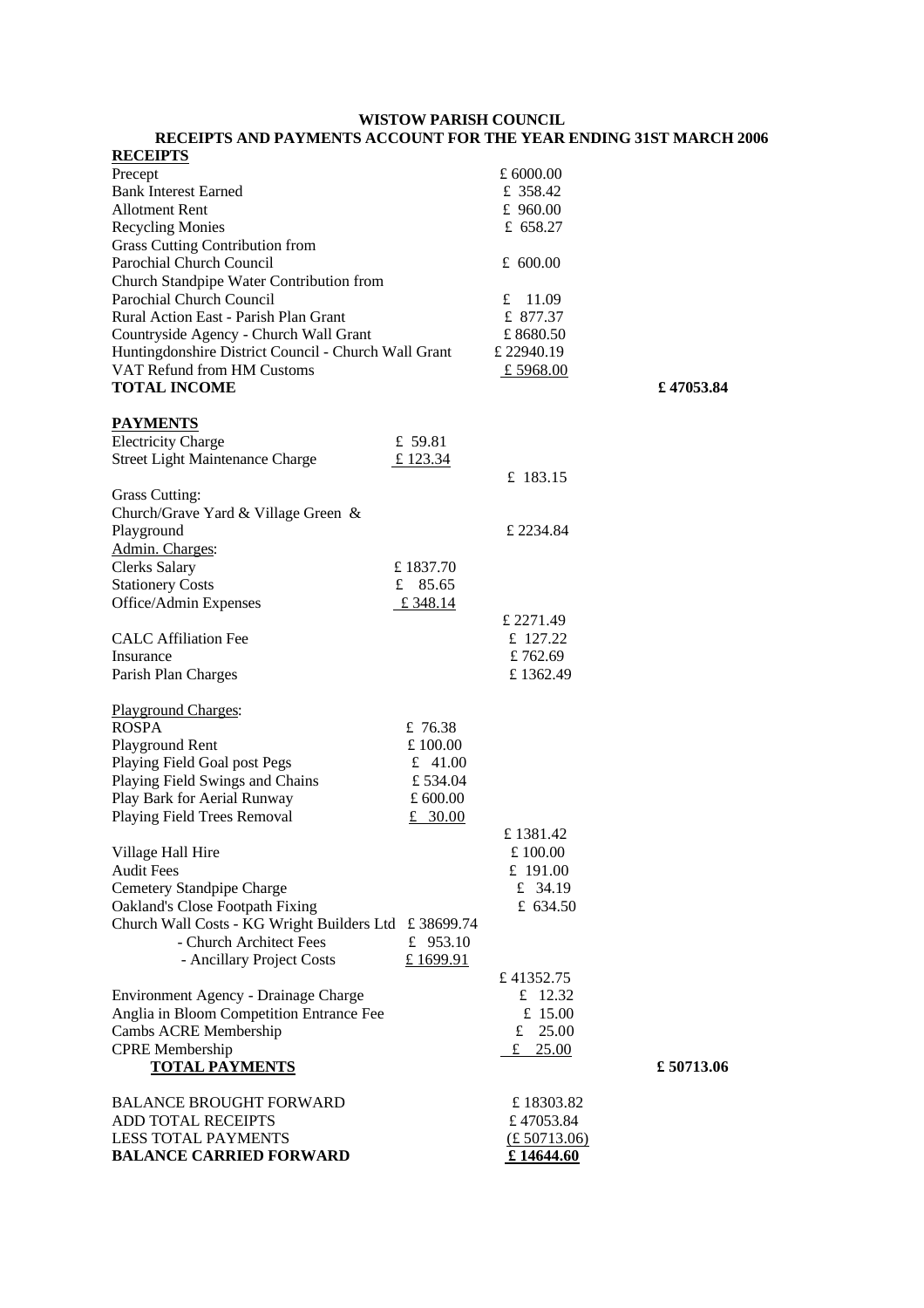#### **WISTOW PARISH COUNCIL**

**RECEIPTS AND PAYMENTS ACCOUNT FOR THE YEAR ENDING 31ST MARCH 2006**

| <b>RECEIPTS</b>                                       |            |                             |           |
|-------------------------------------------------------|------------|-----------------------------|-----------|
| Precept                                               |            | £ 6000.00                   |           |
| <b>Bank Interest Earned</b>                           |            | £ 358.42                    |           |
| <b>Allotment Rent</b>                                 |            | £ $960.00$                  |           |
| <b>Recycling Monies</b>                               |            | £ $658.27$                  |           |
| <b>Grass Cutting Contribution from</b>                |            |                             |           |
|                                                       |            |                             |           |
| Parochial Church Council                              |            | £ $600.00$                  |           |
| Church Standpipe Water Contribution from              |            |                             |           |
| Parochial Church Council                              |            | £<br>11.09                  |           |
| Rural Action East - Parish Plan Grant                 |            | £ 877.37                    |           |
| Countryside Agency - Church Wall Grant                |            | £8680.50                    |           |
| Huntingdonshire District Council - Church Wall Grant  |            | £ 22940.19                  |           |
| VAT Refund from HM Customs                            |            | £ 5968.00                   |           |
| <b>TOTAL INCOME</b>                                   |            |                             | £47053.84 |
|                                                       |            |                             |           |
| <b>PAYMENTS</b>                                       |            |                             |           |
|                                                       |            |                             |           |
| <b>Electricity Charge</b>                             | £ 59.81    |                             |           |
| <b>Street Light Maintenance Charge</b>                | £ 123.34   |                             |           |
|                                                       |            | £ 183.15                    |           |
| Grass Cutting:                                        |            |                             |           |
| Church/Grave Yard & Village Green &                   |            |                             |           |
| Playground                                            |            | £ 2234.84                   |           |
| Admin. Charges:                                       |            |                             |           |
| <b>Clerks Salary</b>                                  | £1837.70   |                             |           |
|                                                       |            |                             |           |
| <b>Stationery Costs</b>                               | £ $85.65$  |                             |           |
| Office/Admin Expenses                                 | £ 348.14   |                             |           |
|                                                       |            | £ 2271.49                   |           |
| <b>CALC</b> Affiliation Fee                           |            | £ 127.22                    |           |
| Insurance                                             |            | £762.69                     |           |
| Parish Plan Charges                                   |            | £1362.49                    |           |
|                                                       |            |                             |           |
| Playground Charges:                                   |            |                             |           |
| <b>ROSPA</b>                                          | £ 76.38    |                             |           |
|                                                       |            |                             |           |
| Playground Rent                                       | £ $100.00$ |                             |           |
| Playing Field Goal post Pegs                          | £ 41.00    |                             |           |
| Playing Field Swings and Chains                       | £534.04    |                             |           |
| Play Bark for Aerial Runway                           | £ $600.00$ |                             |           |
| Playing Field Trees Removal                           | £ 30.00    |                             |           |
|                                                       |            | £ 1381.42                   |           |
| Village Hall Hire                                     |            | £100.00                     |           |
| <b>Audit Fees</b>                                     |            | £ $191.00$                  |           |
| Cemetery Standpipe Charge                             |            | £ 34.19                     |           |
|                                                       |            |                             |           |
| Oakland's Close Footpath Fixing                       |            | £ 634.50                    |           |
| Church Wall Costs - KG Wright Builders Ltd £ 38699.74 |            |                             |           |
| - Church Architect Fees                               | £ $953.10$ |                             |           |
| - Ancillary Project Costs                             | £1699.91   |                             |           |
|                                                       |            | £41352.75                   |           |
| Environment Agency - Drainage Charge                  |            | £ $12.32$                   |           |
| Anglia in Bloom Competition Entrance Fee              |            | £ 15.00                     |           |
| Cambs ACRE Membership                                 |            | £ $25.00$                   |           |
| <b>CPRE</b> Membership                                |            |                             |           |
|                                                       |            | £ $25.00$                   |           |
| <b>TOTAL PAYMENTS</b>                                 |            |                             | £50713.06 |
|                                                       |            |                             |           |
| <b>BALANCE BROUGHT FORWARD</b>                        |            | £18303.82                   |           |
| ADD TOTAL RECEIPTS                                    |            | £47053.84                   |           |
| LESS TOTAL PAYMENTS                                   |            | $\underline{(£\ 50713.06)}$ |           |
| <b>BALANCE CARRIED FORWARD</b>                        |            | £14644.60                   |           |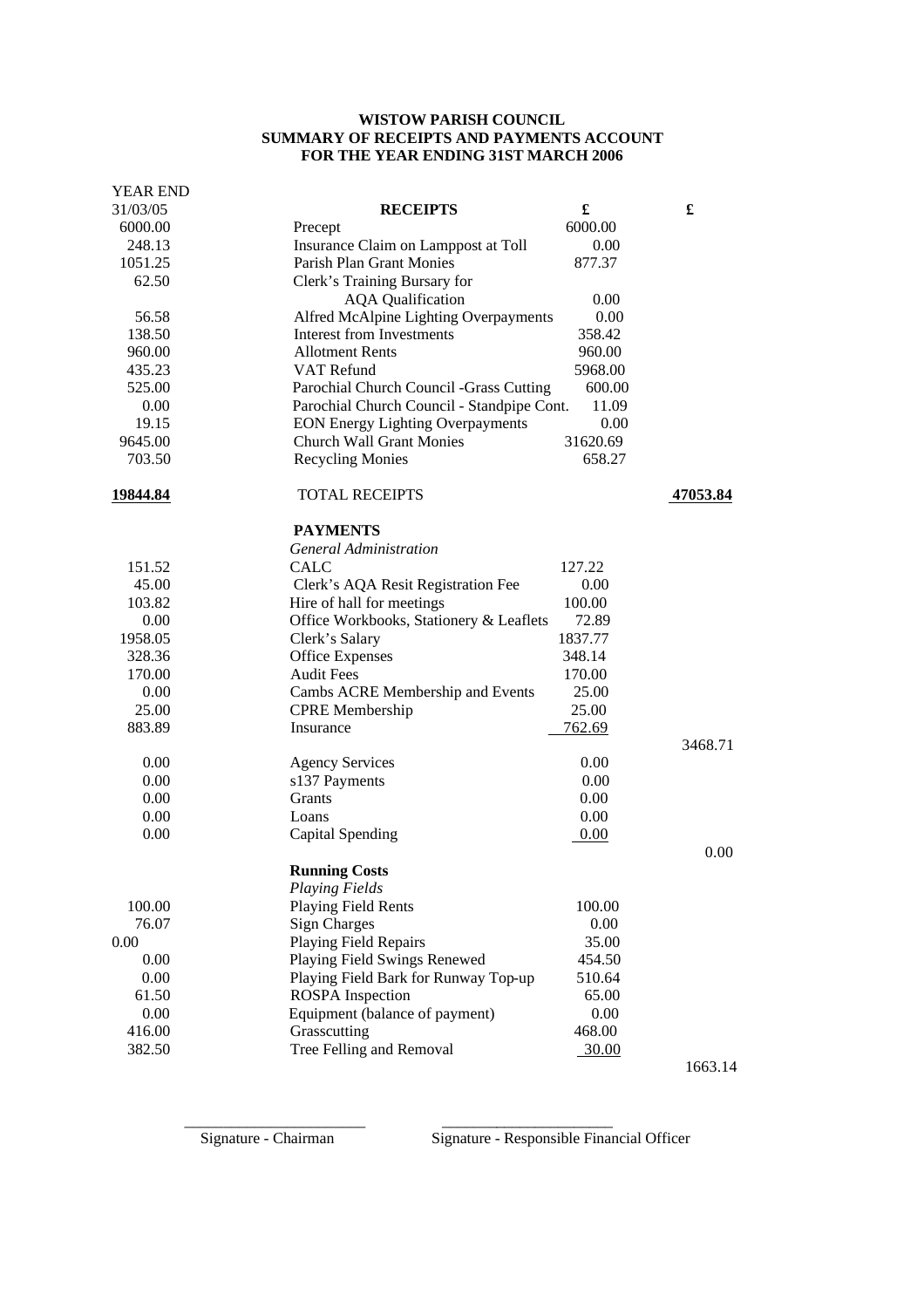# **WISTOW PARISH COUNCIL SUMMARY OF RECEIPTS AND PAYMENTS ACCOUNT FOR THE YEAR ENDING 31ST MARCH 2006**

| <b>YEAR END</b> |                                            |          |          |  |
|-----------------|--------------------------------------------|----------|----------|--|
| 31/03/05        | <b>RECEIPTS</b>                            | £        | £        |  |
| 6000.00         | Precept                                    | 6000.00  |          |  |
| 248.13          | Insurance Claim on Lamppost at Toll        |          |          |  |
| 1051.25         | Parish Plan Grant Monies                   |          |          |  |
| 62.50           | Clerk's Training Bursary for               |          |          |  |
|                 | <b>AQA</b> Qualification                   | 0.00     |          |  |
| 56.58           | Alfred McAlpine Lighting Overpayments      | 0.00     |          |  |
| 138.50          | <b>Interest from Investments</b>           | 358.42   |          |  |
| 960.00          | <b>Allotment Rents</b>                     | 960.00   |          |  |
| 435.23          | VAT Refund<br>5968.00                      |          |          |  |
| 525.00          | Parochial Church Council - Grass Cutting   | 600.00   |          |  |
| 0.00            | Parochial Church Council - Standpipe Cont. | 11.09    |          |  |
| 19.15           | <b>EON Energy Lighting Overpayments</b>    | 0.00     |          |  |
| 9645.00         | <b>Church Wall Grant Monies</b>            | 31620.69 |          |  |
| 703.50          | <b>Recycling Monies</b>                    | 658.27   |          |  |
| 19844.84        | <b>TOTAL RECEIPTS</b>                      |          | 47053.84 |  |
|                 | <b>PAYMENTS</b>                            |          |          |  |
|                 | <b>General Administration</b>              |          |          |  |
| 151.52          | <b>CALC</b>                                | 127.22   |          |  |
| 45.00           | Clerk's AQA Resit Registration Fee         | 0.00     |          |  |
| 103.82          | Hire of hall for meetings                  | 100.00   |          |  |
| 0.00            | Office Workbooks, Stationery & Leaflets    | 72.89    |          |  |
| 1958.05         | Clerk's Salary                             | 1837.77  |          |  |
| 328.36          | <b>Office Expenses</b>                     | 348.14   |          |  |
| 170.00          | <b>Audit Fees</b>                          | 170.00   |          |  |
| 0.00            | Cambs ACRE Membership and Events           | 25.00    |          |  |
| 25.00           | <b>CPRE</b> Membership                     | 25.00    |          |  |
| 883.89          | Insurance                                  | 762.69   |          |  |
|                 |                                            |          | 3468.71  |  |
| 0.00            | <b>Agency Services</b>                     | 0.00     |          |  |
| 0.00            | s137 Payments                              | 0.00     |          |  |
| 0.00            | <b>Grants</b>                              | 0.00     |          |  |
| 0.00            | Loans                                      | 0.00     |          |  |
| 0.00            | Capital Spending                           | 0.00     | 0.00     |  |
|                 | <b>Running Costs</b>                       |          |          |  |
|                 | <b>Playing Fields</b>                      |          |          |  |
| 100.00          | <b>Playing Field Rents</b>                 | 100.00   |          |  |
| 76.07           | <b>Sign Charges</b>                        | 0.00     |          |  |
| 0.00            | Playing Field Repairs                      | 35.00    |          |  |
| 0.00            | Playing Field Swings Renewed               | 454.50   |          |  |
| 0.00            | Playing Field Bark for Runway Top-up       | 510.64   |          |  |
| 61.50           | <b>ROSPA</b> Inspection                    | 65.00    |          |  |
| 0.00            | Equipment (balance of payment)             | 0.00     |          |  |
| 416.00          | Grasscutting                               | 468.00   |          |  |
| 382.50          | Tree Felling and Removal                   | 30.00    |          |  |
|                 |                                            |          | 1663.14  |  |

\_\_\_\_\_\_\_\_\_\_\_\_\_\_\_\_\_\_\_\_\_\_\_ \_\_\_\_\_\_\_\_\_\_\_\_\_\_\_\_\_\_\_\_\_\_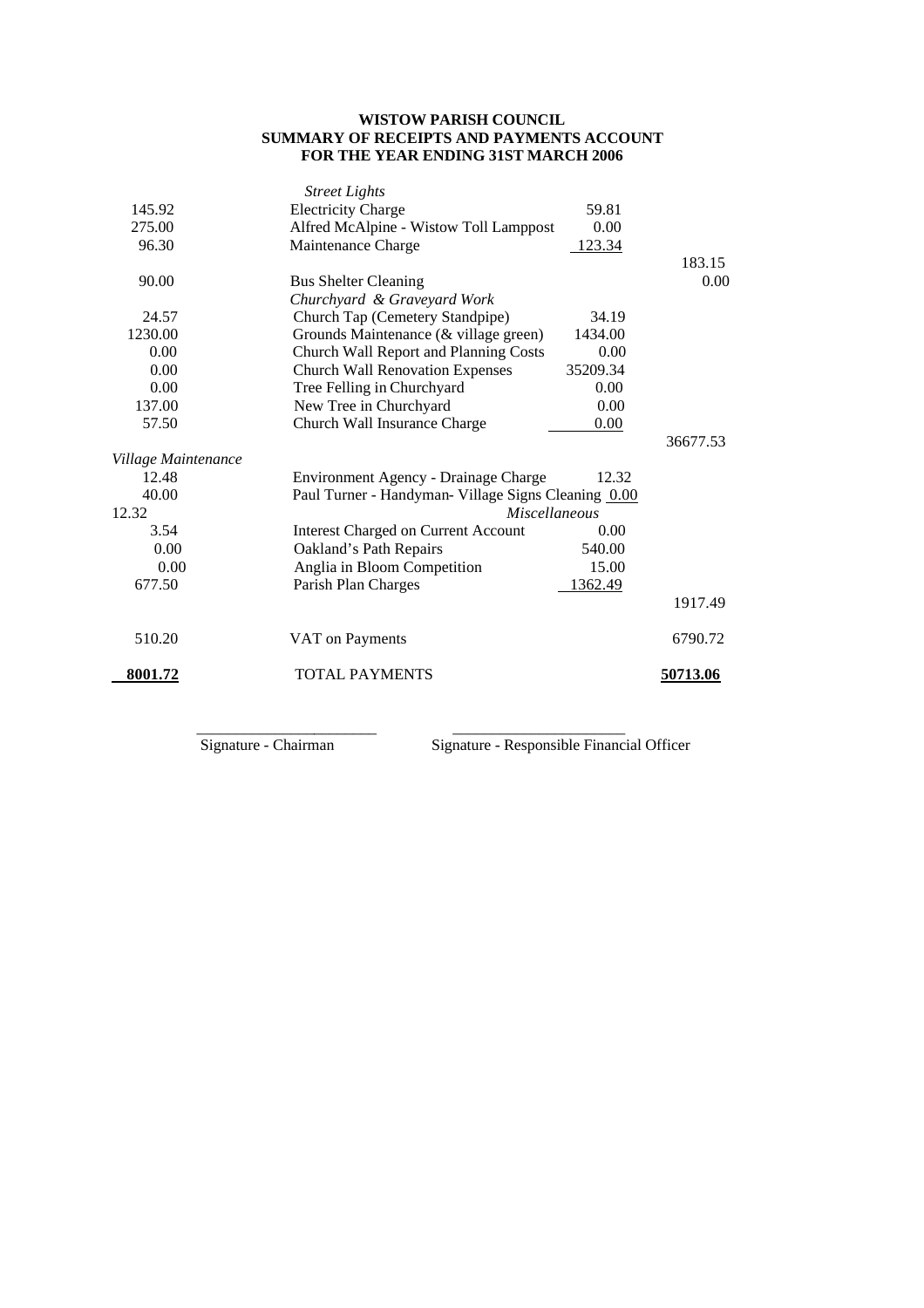# **WISTOW PARISH COUNCIL SUMMARY OF RECEIPTS AND PAYMENTS ACCOUNT FOR THE YEAR ENDING 31ST MARCH 2006**

|                     | <b>Street Lights</b>                                |          |          |
|---------------------|-----------------------------------------------------|----------|----------|
| 145.92              | <b>Electricity Charge</b>                           | 59.81    |          |
| 275.00              | Alfred McAlpine - Wistow Toll Lamppost<br>0.00      |          |          |
| 96.30               | Maintenance Charge<br>123.34                        |          |          |
|                     |                                                     |          | 183.15   |
| 90.00               | <b>Bus Shelter Cleaning</b>                         |          | 0.00     |
|                     | Churchyard & Graveyard Work                         |          |          |
| 24.57               | Church Tap (Cemetery Standpipe)                     | 34.19    |          |
| 1230.00             | Grounds Maintenance (& village green)               | 1434.00  |          |
| 0.00                | Church Wall Report and Planning Costs               | 0.00     |          |
| 0.00                | <b>Church Wall Renovation Expenses</b>              | 35209.34 |          |
| 0.00                | Tree Felling in Churchyard                          | 0.00     |          |
| 137.00              | New Tree in Churchyard<br>0.00                      |          |          |
| 57.50               | Church Wall Insurance Charge                        | 0.00     |          |
|                     |                                                     |          | 36677.53 |
| Village Maintenance |                                                     |          |          |
| 12.48               | Environment Agency - Drainage Charge                | 12.32    |          |
| 40.00               | Paul Turner - Handyman- Village Signs Cleaning 0.00 |          |          |
| 12.32               | <b>Miscellaneous</b>                                |          |          |
| 3.54                | <b>Interest Charged on Current Account</b>          | 0.00     |          |
| 0.00                | Oakland's Path Repairs                              | 540.00   |          |
| 0.00                | Anglia in Bloom Competition                         | 15.00    |          |
| 677.50              | Parish Plan Charges                                 | 1362.49  |          |
|                     |                                                     |          | 1917.49  |
| 510.20              | VAT on Payments                                     |          | 6790.72  |
| 8001.72             | <b>TOTAL PAYMENTS</b>                               |          | 50713.06 |
|                     |                                                     |          |          |

 $\overline{\phantom{a}}$  ,  $\overline{\phantom{a}}$  ,  $\overline{\phantom{a}}$  ,  $\overline{\phantom{a}}$  ,  $\overline{\phantom{a}}$  ,  $\overline{\phantom{a}}$  ,  $\overline{\phantom{a}}$  ,  $\overline{\phantom{a}}$  ,  $\overline{\phantom{a}}$  ,  $\overline{\phantom{a}}$  ,  $\overline{\phantom{a}}$  ,  $\overline{\phantom{a}}$  ,  $\overline{\phantom{a}}$  ,  $\overline{\phantom{a}}$  ,  $\overline{\phantom{a}}$  ,  $\overline{\phantom{a}}$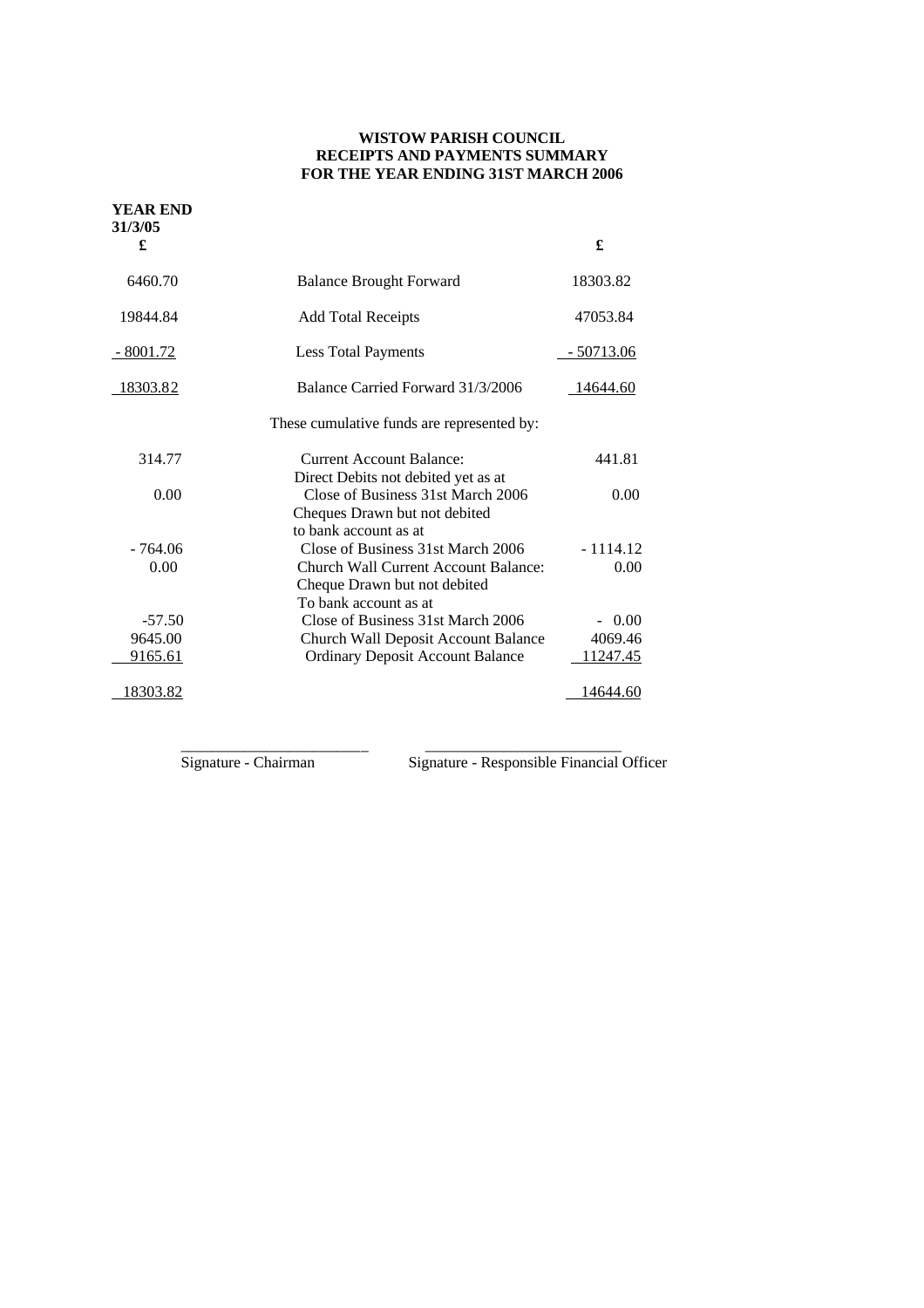# **WISTOW PARISH COUNCIL RECEIPTS AND PAYMENTS SUMMARY FOR THE YEAR ENDING 31ST MARCH 2006**

| <b>YEAR END</b> |                                                                                                                                    |                   |
|-----------------|------------------------------------------------------------------------------------------------------------------------------------|-------------------|
| 31/3/05<br>£    |                                                                                                                                    | £                 |
| 6460.70         | <b>Balance Brought Forward</b>                                                                                                     | 18303.82          |
| 19844.84        | <b>Add Total Receipts</b>                                                                                                          | 47053.84          |
| $-8001.72$      | <b>Less Total Payments</b>                                                                                                         | <u>- 50713.06</u> |
| <u>18303.82</u> | Balance Carried Forward 31/3/2006                                                                                                  | 14644.60          |
|                 | These cumulative funds are represented by:                                                                                         |                   |
| 314.77          | <b>Current Account Balance:</b>                                                                                                    | 441.81            |
| 0.00            | Direct Debits not debited yet as at<br>Close of Business 31st March 2006<br>Cheques Drawn but not debited<br>to bank account as at | 0.00              |
| - 764.06        | Close of Business 31st March 2006                                                                                                  | $-1114.12$        |
| 0.00            | Church Wall Current Account Balance:<br>Cheque Drawn but not debited<br>To bank account as at                                      | 0.00              |
| $-57.50$        | Close of Business 31st March 2006                                                                                                  | $-0.00$           |
| 9645.00         | <b>Church Wall Deposit Account Balance</b>                                                                                         | 4069.46           |
| 9165.61         | <b>Ordinary Deposit Account Balance</b>                                                                                            | 11247.45          |
| 18303.82        |                                                                                                                                    | 14644.60          |

\_\_\_\_\_\_\_\_\_\_\_\_\_\_\_\_\_\_\_\_\_\_\_\_ \_\_\_\_\_\_\_\_\_\_\_\_\_\_\_\_\_\_\_\_\_\_\_\_\_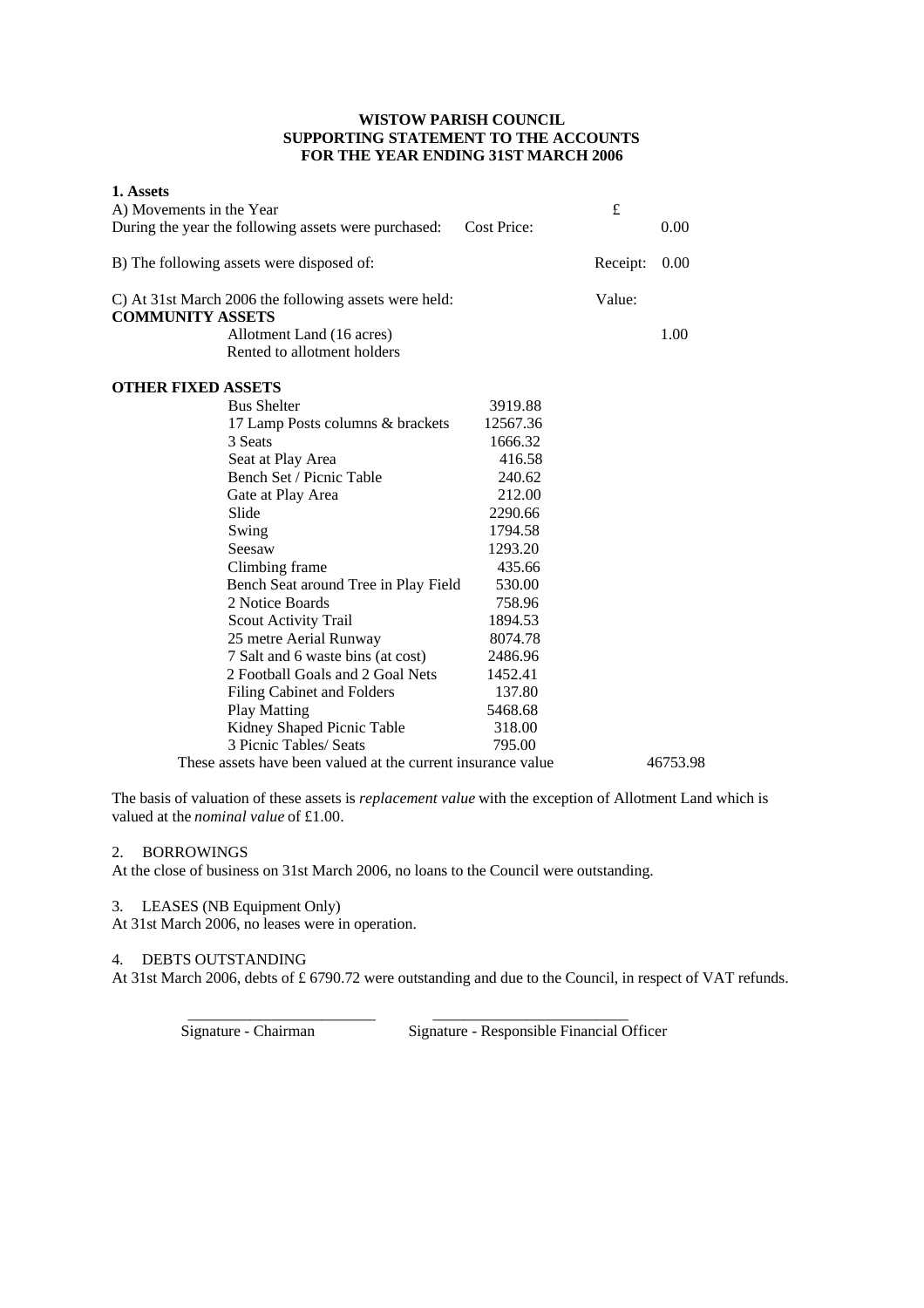## **WISTOW PARISH COUNCIL SUPPORTING STATEMENT TO THE ACCOUNTS FOR THE YEAR ENDING 31ST MARCH 2006**

| 1. Assets                 |                                                              |                    |          |          |
|---------------------------|--------------------------------------------------------------|--------------------|----------|----------|
| A) Movements in the Year  |                                                              |                    | £        |          |
|                           | During the year the following assets were purchased:         | <b>Cost Price:</b> |          | 0.00     |
|                           | B) The following assets were disposed of:                    |                    | Receipt: | 0.00     |
| <b>COMMUNITY ASSETS</b>   | C) At 31st March 2006 the following assets were held:        |                    | Value:   |          |
|                           | Allotment Land (16 acres)                                    |                    |          | 1.00     |
|                           | Rented to allotment holders                                  |                    |          |          |
| <b>OTHER FIXED ASSETS</b> |                                                              |                    |          |          |
|                           | <b>Bus Shelter</b>                                           | 3919.88            |          |          |
|                           | 17 Lamp Posts columns & brackets                             | 12567.36           |          |          |
|                           | 3 Seats                                                      | 1666.32            |          |          |
|                           | Seat at Play Area                                            | 416.58             |          |          |
|                           | Bench Set / Picnic Table                                     | 240.62             |          |          |
|                           | Gate at Play Area                                            | 212.00             |          |          |
|                           | Slide                                                        | 2290.66            |          |          |
|                           | Swing                                                        | 1794.58            |          |          |
|                           | Seesaw                                                       | 1293.20            |          |          |
|                           | Climbing frame                                               | 435.66             |          |          |
|                           | Bench Seat around Tree in Play Field                         | 530.00             |          |          |
|                           | 2 Notice Boards                                              | 758.96             |          |          |
|                           | <b>Scout Activity Trail</b>                                  | 1894.53            |          |          |
|                           | 25 metre Aerial Runway                                       | 8074.78            |          |          |
|                           | 7 Salt and 6 waste bins (at cost)                            | 2486.96            |          |          |
|                           | 2 Football Goals and 2 Goal Nets                             | 1452.41            |          |          |
|                           | <b>Filing Cabinet and Folders</b>                            | 137.80             |          |          |
|                           | <b>Play Matting</b>                                          | 5468.68            |          |          |
|                           | Kidney Shaped Picnic Table                                   | 318.00             |          |          |
|                           | 3 Picnic Tables/ Seats                                       | 795.00             |          |          |
|                           | These assets have been valued at the current insurance value |                    |          | 46753.98 |

The basis of valuation of these assets is *replacement value* with the exception of Allotment Land which is valued at the *nominal value* of £1.00.

# 2. BORROWINGS

At the close of business on 31st March 2006, no loans to the Council were outstanding.

 $\overline{\phantom{a}}$  , and the contract of the contract of the contract of the contract of the contract of the contract of the contract of the contract of the contract of the contract of the contract of the contract of the contrac

#### 3. LEASES (NB Equipment Only)

At 31st March 2006, no leases were in operation.

## 4. DEBTS OUTSTANDING

At 31st March 2006, debts of £ 6790.72 were outstanding and due to the Council, in respect of VAT refunds.